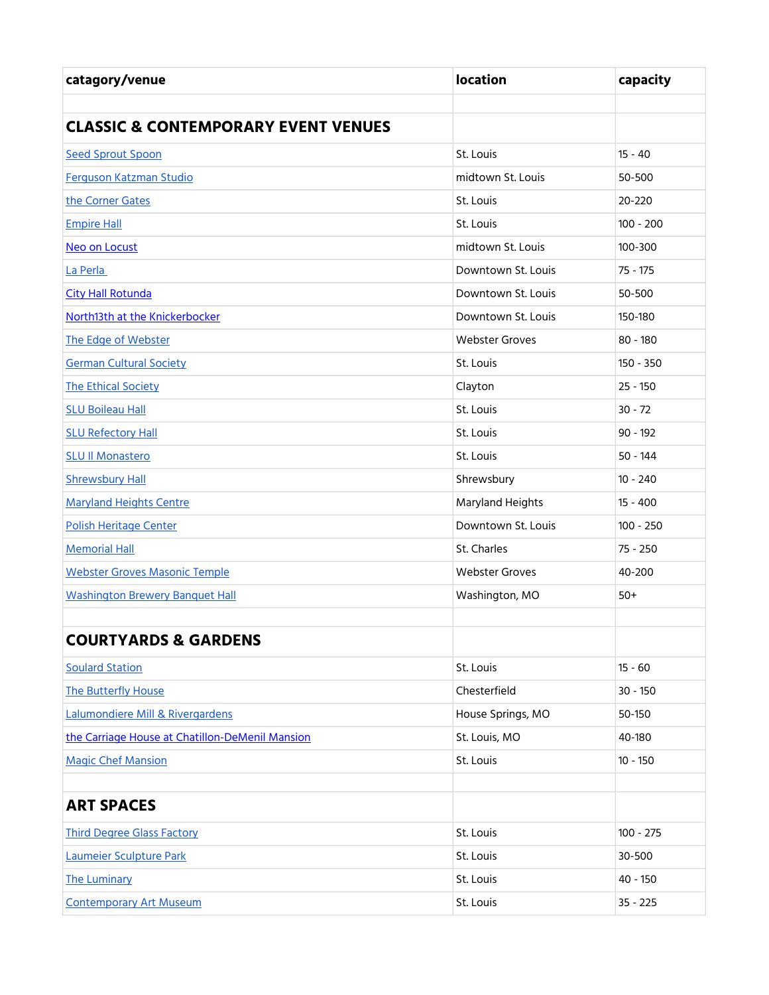| catagory/venue                                  | <b>location</b>       | capacity    |
|-------------------------------------------------|-----------------------|-------------|
|                                                 |                       |             |
| <b>CLASSIC &amp; CONTEMPORARY EVENT VENUES</b>  |                       |             |
| <b>Seed Sprout Spoon</b>                        | St. Louis             | $15 - 40$   |
| Ferguson Katzman Studio                         | midtown St. Louis     | 50-500      |
| the Corner Gates                                | St. Louis             | 20-220      |
| <b>Empire Hall</b>                              | St. Louis             | $100 - 200$ |
| Neo on Locust                                   | midtown St. Louis     | 100-300     |
| La Perla                                        | Downtown St. Louis    | $75 - 175$  |
| <b>City Hall Rotunda</b>                        | Downtown St. Louis    | 50-500      |
| North13th at the Knickerbocker                  | Downtown St. Louis    | 150-180     |
| The Edge of Webster                             | <b>Webster Groves</b> | $80 - 180$  |
| <b>German Cultural Society</b>                  | St. Louis             | 150 - 350   |
| <b>The Ethical Society</b>                      | Clayton               | $25 - 150$  |
| <b>SLU Boileau Hall</b>                         | St. Louis             | $30 - 72$   |
| <b>SLU Refectory Hall</b>                       | St. Louis             | $90 - 192$  |
| <b>SLU II Monastero</b>                         | St. Louis             | $50 - 144$  |
| <b>Shrewsbury Hall</b>                          | Shrewsbury            | $10 - 240$  |
| <b>Maryland Heights Centre</b>                  | Maryland Heights      | $15 - 400$  |
| Polish Heritage Center                          | Downtown St. Louis    | $100 - 250$ |
| <b>Memorial Hall</b>                            | St. Charles           | $75 - 250$  |
| <b>Webster Groves Masonic Temple</b>            | <b>Webster Groves</b> | 40-200      |
| <b>Washington Brewery Banquet Hall</b>          | Washington, MO        | $50+$       |
|                                                 |                       |             |
| <b>COURTYARDS &amp; GARDENS</b>                 |                       |             |
| <b>Soulard Station</b>                          | St. Louis             | $15 - 60$   |
| The Butterfly House                             | Chesterfield          | $30 - 150$  |
| Lalumondiere Mill & Rivergardens                | House Springs, MO     | 50-150      |
| the Carriage House at Chatillon-DeMenil Mansion | St. Louis, MO         | 40-180      |
| <b>Magic Chef Mansion</b>                       | St. Louis             | $10 - 150$  |
|                                                 |                       |             |
| <b>ART SPACES</b>                               |                       |             |
| <b>Third Degree Glass Factory</b>               | St. Louis             | $100 - 275$ |
| Laumeier Sculpture Park                         | St. Louis             | 30-500      |
| <b>The Luminary</b>                             | St. Louis             | $40 - 150$  |
| <b>Contemporary Art Museum</b>                  | St. Louis             | $35 - 225$  |